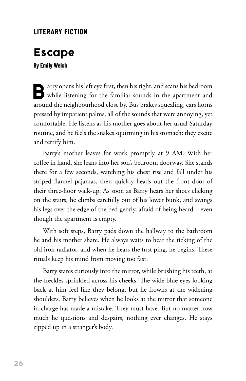## **LITERARY FICTION**

# **Escape**

#### **By Emily Welch**

**B**arry opens his left eye first, then his right, and scans his bedroom while listening for the familiar sounds in the apartment and around the neighbourhood close by. Bus brakes squealing, cars horns pressed by impatient palms, all of the sounds that were annoying, yet comfortable. He listens as his mother goes about her usual Saturday routine, and he feels the snakes squirming in his stomach: they excite and terrify him.

Barry's mother leaves for work promptly at 9 AM. With her coffee in hand, she leans into her son's bedroom doorway. She stands there for a few seconds, watching his chest rise and fall under his striped flannel pajamas, then quickly heads out the front door of their three-floor walk-up. As soon as Barry hears her shoes clicking on the stairs, he climbs carefully out of his lower bunk, and swings his legs over the edge of the bed gently, afraid of being heard – even though the apartment is empty.

With soft steps, Barry pads down the hallway to the bathroom he and his mother share. He always waits to hear the ticking of the old iron radiator, and when he hears the first ping, he begins. These rituals keep his mind from moving too fast.

Barry stares curiously into the mirror, while brushing his teeth, at the freckles sprinkled across his cheeks. The wide blue eyes looking back at him feel like they belong, but he frowns at the widening shoulders. Barry believes when he looks at the mirror that someone in charge has made a mistake. They must have. But no matter how much he questions and despairs, nothing ever changes. He stays zipped up in a stranger's body.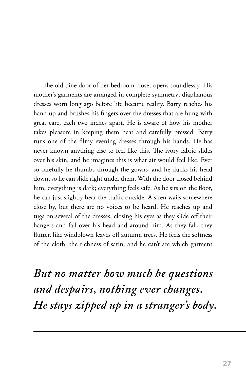The old pine door of her bedroom closet opens soundlessly. His mother's garments are arranged in complete symmetry; diaphanous dresses worn long ago before life became reality. Barry reaches his hand up and brushes his fingers over the dresses that are hung with great care, each two inches apart. He is aware of how his mother takes pleasure in keeping them neat and carefully pressed. Barry runs one of the filmy evening dresses through his hands. He has never known anything else to feel like this. The ivory fabric slides over his skin, and he imagines this is what air would feel like. Ever so carefully he thumbs through the gowns, and he ducks his head down, so he can slide right under them. With the door closed behind him, everything is dark; everything feels safe. As he sits on the floor, he can just slightly hear the traffic outside. A siren wails somewhere close by, but there are no voices to be heard. He reaches up and tugs on several of the dresses, closing his eyes as they slide off their hangers and fall over his head and around him. As they fall, they flutter, like windblown leaves off autumn trees. He feels the softness of the cloth, the richness of satin, and he can't see which garment

*But no matter how much he questions and despairs, nothing ever changes. He stays zipped up in a stranger's body.*